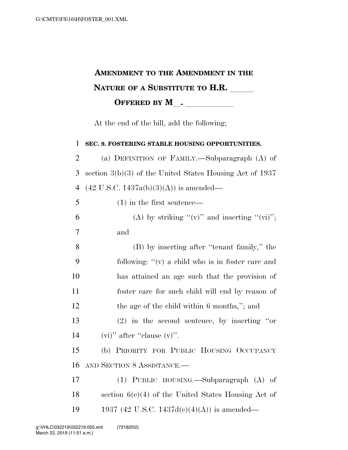## **AMENDMENT TO THE AMENDMENT IN THE NATURE OF A SUBSTITUTE TO H.R. OFFERED BY M**.

At the end of the bill, add the following;

 **SEC. 9. FOSTERING STABLE HOUSING OPPORTUNITIES.**  (a) DEFINITION OF FAMILY.—Subparagraph (A) of section 3(b)(3) of the United States Housing Act of 1937 4 (42 U.S.C. 1437a(b)(3)(A)) is amended— (1) in the first sentence— 6 (A) by striking " $(v)$ " and inserting " $(vi)$ "; 7 and (B) by inserting after ''tenant family,'' the following: ''(v) a child who is in foster care and has attained an age such that the provision of foster care for such child will end by reason of 12 the age of the child within 6 months,"; and (2) in the second sentence, by inserting ''or 14 (vi)" after "clause  $(v)$ ". (b) PRIORITY FOR PUBLIC HOUSING OCCUPANCY AND SECTION 8 ASSISTANCE.— (1) PUBLIC HOUSING.—Subparagraph (A) of section 6(c)(4) of the United States Housing Act of 19 1937 (42 U.S.C. 1437d(c)(4)(A)) is amended—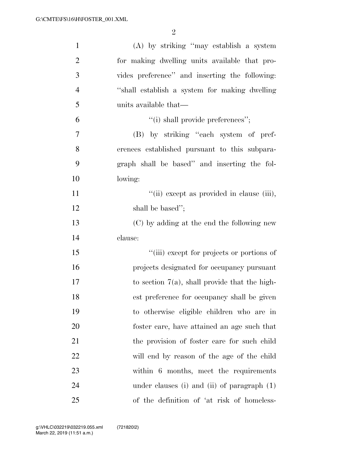| $\mathbf{1}$   | (A) by striking "may establish a system          |
|----------------|--------------------------------------------------|
| $\overline{2}$ | for making dwelling units available that pro-    |
| 3              | vides preference" and inserting the following:   |
| $\overline{4}$ | "shall establish a system for making dwelling    |
| 5              | units available that—                            |
| 6              | "(i) shall provide preferences";                 |
| 7              | (B) by striking "each system of pref-            |
| 8              | erences established pursuant to this subpara-    |
| 9              | graph shall be based" and inserting the fol-     |
| 10             | lowing:                                          |
| 11             | "(ii) except as provided in clause (iii),        |
| 12             | shall be based";                                 |
| 13             | (C) by adding at the end the following new       |
| 14             | clause:                                          |
| 15             | "(iii) except for projects or portions of        |
| 16             | projects designated for occupancy pursuant       |
| 17             | to section $7(a)$ , shall provide that the high- |
| 18             | est preference for occupancy shall be given      |
| 19             | to otherwise eligible children who are in        |
| 20             | foster care, have attained an age such that      |
| 21             | the provision of foster care for such child      |
| 22             | will end by reason of the age of the child       |
| 23             | within 6 months, meet the requirements           |
| 24             | under clauses (i) and (ii) of paragraph $(1)$    |
| 25             | of the definition of 'at risk of homeless-       |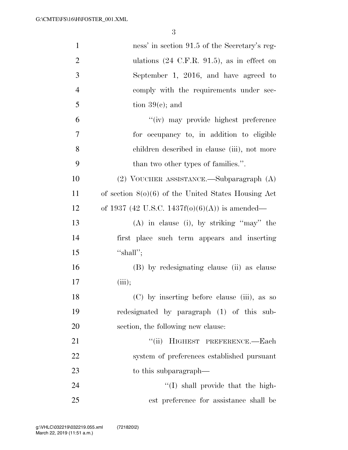| $\mathbf{1}$   | ness' in section 91.5 of the Secretary's reg-          |
|----------------|--------------------------------------------------------|
| $\overline{2}$ | ulations $(24 \text{ C.F.R. } 91.5)$ , as in effect on |
| 3              | September 1, 2016, and have agreed to                  |
| $\overline{4}$ | comply with the requirements under sec-                |
| 5              | tion $39(c)$ ; and                                     |
| 6              | "(iv) may provide highest preference                   |
| 7              | for occupancy to, in addition to eligible              |
| 8              | children described in clause (iii), not more           |
| 9              | than two other types of families.".                    |
| 10             | $(2)$ VOUCHER ASSISTANCE.—Subparagraph $(A)$           |
| 11             | of section $8(0)(6)$ of the United States Housing Act  |
| 12             | of 1937 (42 U.S.C. 1437f(o)(6)(A)) is amended—         |
| 13             | $(A)$ in clause (i), by striking "may" the             |
| 14             | first place such term appears and inserting            |
| 15             | "shall";                                               |
| 16             | (B) by redesignating clause (ii) as clause             |
| 17             | (iii);                                                 |
| 18             | (C) by inserting before clause (iii), as so            |
| 19             | redesignated by paragraph (1) of this sub-             |
| 20             | section, the following new clause:                     |
| 21             | "(ii) HIGHEST PREFERENCE.-Each                         |
| 22             | system of preferences established pursuant             |
| 23             | to this subparagraph—                                  |
| 24             | "(I) shall provide that the high-                      |
| 25             | est preference for assistance shall be                 |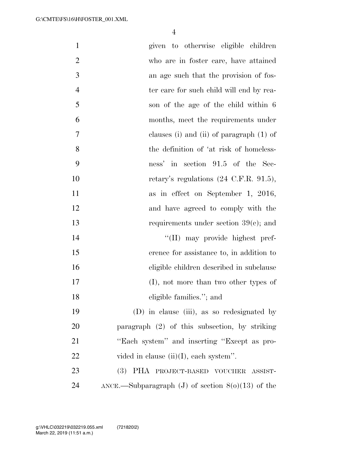| $\mathbf{1}$   | given to otherwise eligible children                |
|----------------|-----------------------------------------------------|
| $\overline{2}$ | who are in foster care, have attained               |
| 3              | an age such that the provision of fos-              |
| $\overline{4}$ | ter care for such child will end by rea-            |
| 5              | son of the age of the child within 6                |
| 6              | months, meet the requirements under                 |
| 7              | clauses (i) and (ii) of paragraph $(1)$ of          |
| 8              | the definition of 'at risk of homeless-             |
| 9              | ness' in section 91.5 of the Sec-                   |
| 10             | retary's regulations $(24 \text{ C.F.R. } 91.5)$ ,  |
| 11             | as in effect on September 1, 2016,                  |
| 12             | and have agreed to comply with the                  |
| 13             | requirements under section $39(c)$ ; and            |
| 14             | "(II) may provide highest pref-                     |
| 15             | erence for assistance to, in addition to            |
| 16             | eligible children described in subclause            |
| 17             | $(I)$ , not more than two other types of            |
| 18             | eligible families."; and                            |
| 19             | (D) in clause (iii), as so redesignated by          |
| 20             | paragraph (2) of this subsection, by striking       |
| 21             | "Each system" and inserting "Except as pro-         |
| 22             | vided in clause (ii)(I), each system".              |
| 23             | (3) PHA PROJECT-BASED VOUCHER ASSIST-               |
| 24             | ANCE.—Subparagraph (J) of section $8(0)(13)$ of the |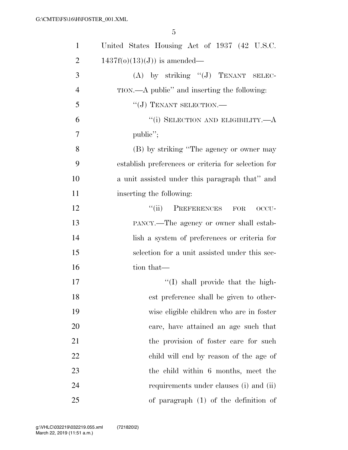| $\mathbf{1}$   | United States Housing Act of 1937 (42 U.S.C.        |
|----------------|-----------------------------------------------------|
| $\overline{2}$ | $1437f(o)(13)(J)$ is amended—                       |
| 3              | (A) by striking "(J) TENANT SELEC-                  |
| $\overline{4}$ | TION.—A public" and inserting the following:        |
| 5              | "(J) TENANT SELECTION.-                             |
| 6              | "(i) SELECTION AND ELIGIBILITY.—A                   |
| $\overline{7}$ | public";                                            |
| 8              | (B) by striking "The agency or owner may            |
| 9              | establish preferences or criteria for selection for |
| 10             | a unit assisted under this paragraph that" and      |
| 11             | inserting the following:                            |
| 12             | "(ii) PREFERENCES<br>${\rm FOR}$<br>OCCU-           |
| 13             | PANCY.—The agency or owner shall estab-             |
| 14             | lish a system of preferences or criteria for        |
| 15             | selection for a unit assisted under this sec-       |
| 16             | tion that—                                          |
| 17             | $\lq\lq$ shall provide that the high-               |
| 18             | est preference shall be given to other-             |
| 19             | wise eligible children who are in foster            |
| 20             | care, have attained an age such that                |
| 21             | the provision of foster care for such               |
| 22             | child will end by reason of the age of              |
| 23             | the child within 6 months, meet the                 |
| 24             | requirements under clauses (i) and (ii)             |
| 25             | of paragraph $(1)$ of the definition of             |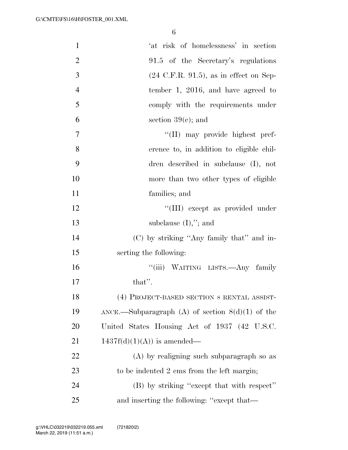| $\mathbf{1}$   | 'at risk of homelessness' in section               |
|----------------|----------------------------------------------------|
| $\overline{2}$ | 91.5 of the Secretary's regulations                |
| 3              | $(24 \text{ C.F.R. } 91.5)$ , as in effect on Sep- |
| $\overline{4}$ | tember 1, 2016, and have agreed to                 |
| 5              | comply with the requirements under                 |
| 6              | section $39(c)$ ; and                              |
| $\overline{7}$ | "(II) may provide highest pref-                    |
| 8              | erence to, in addition to eligible chil-           |
| 9              | dren described in subclause (I), not               |
| 10             | more than two other types of eligible              |
| 11             | families; and                                      |
| 12             | "(III) except as provided under                    |
| 13             | subclause $(I),$ "; and                            |
| 14             | (C) by striking "Any family that" and in-          |
| 15             | serting the following:                             |
| 16             | "(iii) WAITING LISTS.—Any family                   |
| 17             | that".                                             |
| 18             | (4) PROJECT-BASED SECTION 8 RENTAL ASSIST-         |
| 19             | ANCE.—Subparagraph (A) of section $8(d)(1)$ of the |
| 20             | United States Housing Act of 1937 (42 U.S.C.       |
| 21             | $1437f(d)(1)(A)$ is amended—                       |
| 22             | $(A)$ by realigning such subparagraph so as        |
| 23             | to be indented 2 ems from the left margin;         |
| 24             | (B) by striking "except that with respect"         |
| 25             | and inserting the following: "except that—         |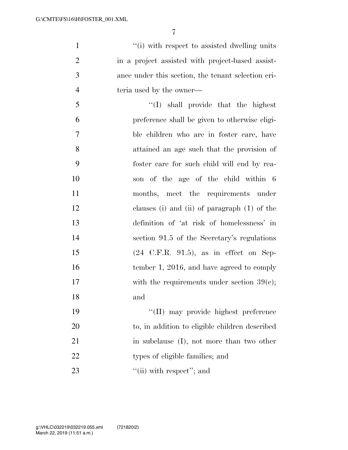$''(i)$  with respect to assisted dwelling units in a project assisted with project-based assist- ance under this section, the tenant selection cri-4 teria used by the owner—

 ''(I) shall provide that the highest preference shall be given to otherwise eligi- ble children who are in foster care, have attained an age such that the provision of foster care for such child will end by rea- son of the age of the child within 6 months, meet the requirements under clauses (i) and (ii) of paragraph (1) of the definition of 'at risk of homelessness' in section 91.5 of the Secretary's regulations (24 C.F.R. 91.5), as in effect on Sep-16 tember 1, 2016, and have agreed to comply 17 with the requirements under section 39(c); and ''(II) may provide highest preference

 to, in addition to eligible children described 21 in subclause (I), not more than two other 22 types of eligible families; and 23  $\frac{1}{\sin(\pi)} \text{ with respect}$ ; and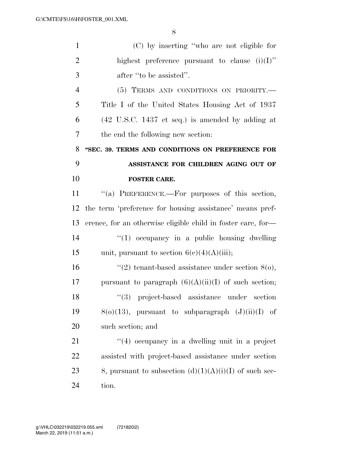| $\mathbf{1}$   | (C) by inserting "who are not eligible for                          |
|----------------|---------------------------------------------------------------------|
| $\overline{2}$ | highest preference pursuant to clause $(i)(I)$ "                    |
| 3              | after "to be assisted".                                             |
| $\overline{4}$ | (5) TERMS AND CONDITIONS ON PRIORITY.-                              |
| 5              | Title I of the United States Housing Act of 1937                    |
| 6              | $(42 \text{ U.S.C. } 1437 \text{ et seq.})$ is amended by adding at |
| 7              | the end the following new section:                                  |
| 8              | "SEC. 39. TERMS AND CONDITIONS ON PREFERENCE FOR                    |
| 9              | ASSISTANCE FOR CHILDREN AGING OUT OF                                |
| 10             | <b>FOSTER CARE.</b>                                                 |
| 11             | "(a) PREFERENCE.—For purposes of this section,                      |
| 12             | the term 'preference for housing assistance' means pref-            |
| 13             | erence, for an otherwise eligible child in foster care, for-        |
| 14             | $"(1)$ occupancy in a public housing dwelling                       |
| 15             | unit, pursuant to section $6(c)(4)(A)(iii)$ ;                       |
| 16             | "(2) tenant-based assistance under section $8(0)$ ,                 |
| 17             | pursuant to paragraph $(6)(A)(ii)(I)$ of such section;              |
| 18             | $(3)$ project-based assistance under section                        |
| 19             | $8(0)(13)$ , pursuant to subparagraph $(J)(ii)(I)$ of               |
| 20             | such section; and                                                   |
| 21             | $(4)$ occupancy in a dwelling unit in a project                     |
| 22             | assisted with project-based assistance under section                |
| 23             | 8, pursuant to subsection $(d)(1)(A)(i)(I)$ of such sec-            |
| 24             | tion.                                                               |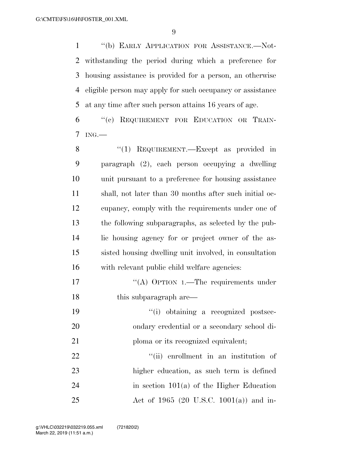''(b) EARLY APPLICATION FOR ASSISTANCE.—Not- withstanding the period during which a preference for housing assistance is provided for a person, an otherwise eligible person may apply for such occupancy or assistance at any time after such person attains 16 years of age.

 ''(c) REQUIREMENT FOR EDUCATION OR TRAIN-ING.—

8 "(1) REQUIREMENT.—Except as provided in paragraph (2), each person occupying a dwelling unit pursuant to a preference for housing assistance shall, not later than 30 months after such initial oc- cupancy, comply with the requirements under one of the following subparagraphs, as selected by the pub- lic housing agency for or project owner of the as- sisted housing dwelling unit involved, in consultation with relevant public child welfare agencies:

17 ""(A) OPTION 1.—The requirements under 18 this subparagraph are—

 ''(i) obtaining a recognized postsec- ondary credential or a secondary school di-21 ploma or its recognized equivalent;

 $\frac{1}{1}$  (ii) enrollment in an institution of higher education, as such term is defined 24 in section  $101(a)$  of the Higher Education Act of 1965 (20 U.S.C. 1001(a)) and in-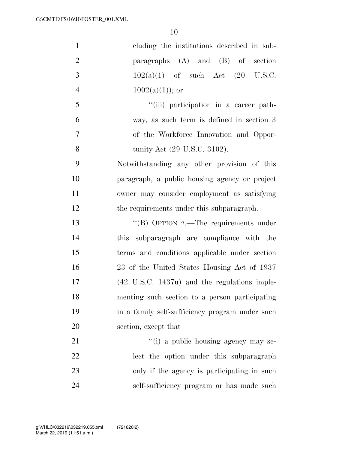| $\mathbf{1}$   | cluding the institutions described in sub-              |
|----------------|---------------------------------------------------------|
| $\overline{2}$ | paragraphs $(A)$ and $(B)$ of section                   |
| 3              | $102(a)(1)$ of such Act $(20 \text{ U.S.C.})$           |
| $\overline{4}$ | $1002(a)(1)$ ; or                                       |
| 5              | "(iii) participation in a career path-                  |
| 6              | way, as such term is defined in section 3               |
| $\overline{7}$ | of the Workforce Innovation and Oppor-                  |
| 8              | tunity Act (29 U.S.C. 3102).                            |
| 9              | Notwithstanding any other provision of this             |
| 10             | paragraph, a public housing agency or project           |
| 11             | owner may consider employment as satisfying             |
| 12             | the requirements under this subparagraph.               |
| 13             | "(B) OPTION 2.—The requirements under                   |
| 14             | subparagraph are compliance with the<br>this            |
| 15             | terms and conditions applicable under section           |
| 16             | 23 of the United States Housing Act of 1937             |
| 17             | $(42 \text{ U.S.C. } 1437u)$ and the regulations imple- |
| 18             | menting such section to a person participating          |
| 19             | in a family self-sufficiency program under such         |
| 20             | section, except that—                                   |
| 21             | "(i) a public housing agency may se-                    |
| 22             | lect the option under this subparagraph                 |
| 23             | only if the agency is participating in such             |
| 24             | self-sufficiency program or has made such               |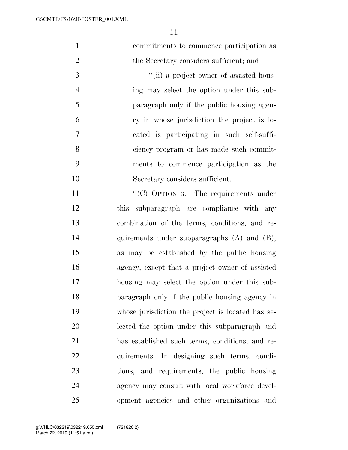| $\mathbf{1}$   | commitments to commence participation as          |
|----------------|---------------------------------------------------|
| $\overline{2}$ | the Secretary considers sufficient; and           |
| 3              | "(ii) a project owner of assisted hous-           |
| $\overline{4}$ | ing may select the option under this sub-         |
| 5              | paragraph only if the public housing agen-        |
| 6              | cy in whose jurisdiction the project is lo-       |
| 7              | cated is participating in such self-suffi-        |
| 8              | ciency program or has made such commit-           |
| 9              | ments to commence participation as the            |
| 10             | Secretary considers sufficient.                   |
| 11             | "(C) OPTION 3.—The requirements under             |
| 12             |                                                   |
|                | this subparagraph are compliance with any         |
| 13             | combination of the terms, conditions, and re-     |
| 14             | quirements under subparagraphs $(A)$ and $(B)$ ,  |
| 15             | as may be established by the public housing       |
| 16             | agency, except that a project owner of assisted   |
| 17             | housing may select the option under this sub-     |
| 18             | paragraph only if the public housing agency in    |
| 19             | whose jurisdiction the project is located has se- |
| 20             | lected the option under this subparagraph and     |
| 21             | has established such terms, conditions, and re-   |
| 22             | quirements. In designing such terms, condi-       |
| 23             | tions, and requirements, the public housing       |
| 24             | agency may consult with local workforce devel-    |
| 25             | opment agencies and other organizations and       |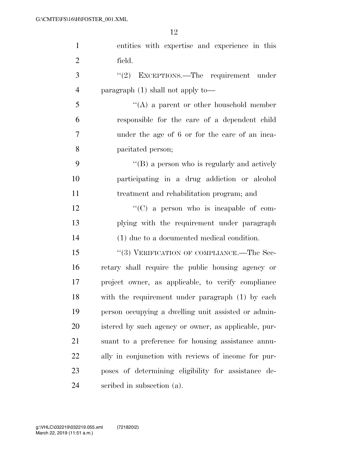| $\mathbf{1}$   | entities with expertise and experience in this       |
|----------------|------------------------------------------------------|
| $\overline{2}$ | field.                                               |
| 3              | EXCEPTIONS.—The requirement under<br>(2)             |
| $\overline{4}$ | paragraph $(1)$ shall not apply to —                 |
| 5              | $\lq\lq$ a parent or other household member          |
| 6              | responsible for the care of a dependent child        |
| 7              | under the age of 6 or for the care of an inca-       |
| 8              | pacitated person;                                    |
| 9              | $\lq\lq (B)$ a person who is regularly and actively  |
| 10             | participating in a drug addiction or alcohol         |
| 11             | treatment and rehabilitation program; and            |
| 12             | $\lq\lq$ (C) a person who is incapable of com-       |
| 13             | plying with the requirement under paragraph          |
| 14             | (1) due to a documented medical condition.           |
| 15             | "(3) VERIFICATION OF COMPLIANCE.—The Sec-            |
| 16             | retary shall require the public housing agency or    |
| 17             | project owner, as applicable, to verify compliance   |
| 18             | with the requirement under paragraph (1) by each     |
| 19             | person occupying a dwelling unit assisted or admin-  |
| 20             | istered by such agency or owner, as applicable, pur- |
| 21             | suant to a preference for housing assistance annu-   |
| 22             | ally in conjunction with reviews of income for pur-  |
| 23             | poses of determining eligibility for assistance de-  |
| 24             | scribed in subsection (a).                           |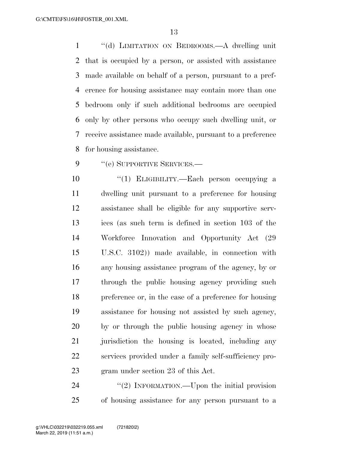''(d) LIMITATION ON BEDROOMS.—A dwelling unit that is occupied by a person, or assisted with assistance made available on behalf of a person, pursuant to a pref- erence for housing assistance may contain more than one bedroom only if such additional bedrooms are occupied only by other persons who occupy such dwelling unit, or receive assistance made available, pursuant to a preference for housing assistance.

9 "(e) SUPPORTIVE SERVICES.—

 ''(1) ELIGIBILITY.—Each person occupying a dwelling unit pursuant to a preference for housing assistance shall be eligible for any supportive serv- ices (as such term is defined in section 103 of the Workforce Innovation and Opportunity Act (29 U.S.C. 3102)) made available, in connection with any housing assistance program of the agency, by or through the public housing agency providing such preference or, in the case of a preference for housing assistance for housing not assisted by such agency, by or through the public housing agency in whose jurisdiction the housing is located, including any services provided under a family self-sufficiency pro-gram under section 23 of this Act.

24 "(2) INFORMATION.—Upon the initial provision of housing assistance for any person pursuant to a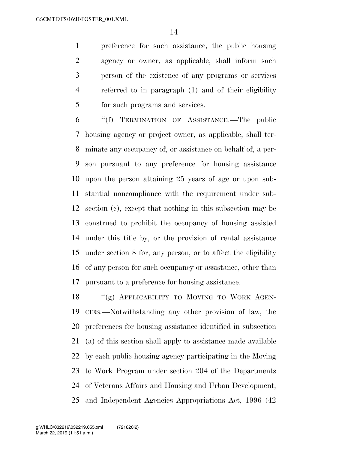preference for such assistance, the public housing agency or owner, as applicable, shall inform such person of the existence of any programs or services referred to in paragraph (1) and of their eligibility for such programs and services.

 ''(f) TERMINATION OF ASSISTANCE.—The public housing agency or project owner, as applicable, shall ter- minate any occupancy of, or assistance on behalf of, a per- son pursuant to any preference for housing assistance upon the person attaining 25 years of age or upon sub- stantial noncompliance with the requirement under sub- section (c), except that nothing in this subsection may be construed to prohibit the occupancy of housing assisted under this title by, or the provision of rental assistance under section 8 for, any person, or to affect the eligibility of any person for such occupancy or assistance, other than pursuant to a preference for housing assistance.

18 "(g) APPLICABILITY TO MOVING TO WORK AGEN- CIES.—Notwithstanding any other provision of law, the preferences for housing assistance identified in subsection (a) of this section shall apply to assistance made available by each public housing agency participating in the Moving to Work Program under section 204 of the Departments of Veterans Affairs and Housing and Urban Development, and Independent Agencies Appropriations Act, 1996 (42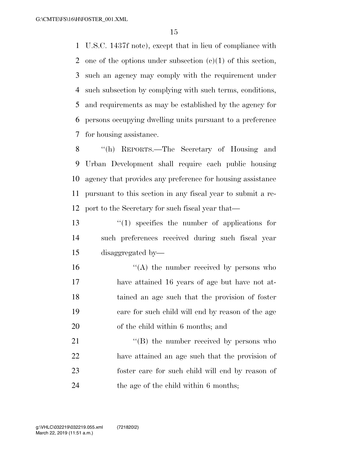U.S.C. 1437f note), except that in lieu of compliance with one of the options under subsection (c)(1) of this section, such an agency may comply with the requirement under such subsection by complying with such terms, conditions, and requirements as may be established by the agency for persons occupying dwelling units pursuant to a preference for housing assistance.

 ''(h) REPORTS.—The Secretary of Housing and Urban Development shall require each public housing agency that provides any preference for housing assistance pursuant to this section in any fiscal year to submit a re-port to the Secretary for such fiscal year that—

 ''(1) specifies the number of applications for such preferences received during such fiscal year disaggregated by—

 $\mathcal{L}(\mathbf{A})$  the number received by persons who have attained 16 years of age but have not at- tained an age such that the provision of foster care for such child will end by reason of the age of the child within 6 months; and

21 "'(B) the number received by persons who have attained an age such that the provision of foster care for such child will end by reason of the age of the child within 6 months;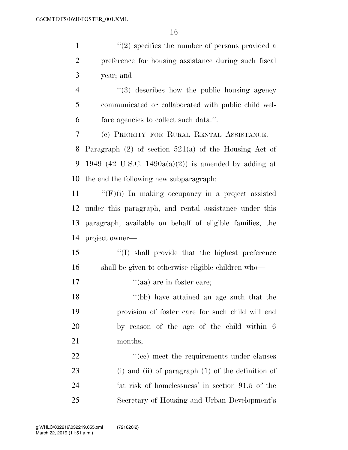1 ''(2) specifies the number of persons provided a preference for housing assistance during such fiscal year; and 4 "(3) describes how the public housing agency communicated or collaborated with public child wel- fare agencies to collect such data.''. (c) PRIORITY FOR RURAL RENTAL ASSISTANCE.— Paragraph (2) of section 521(a) of the Housing Act of 9 1949 (42 U.S.C. 1490a(a)(2)) is amended by adding at the end the following new subparagraph:

 ''(F)(i) In making occupancy in a project assisted under this paragraph, and rental assistance under this paragraph, available on behalf of eligible families, the project owner—

 ''(I) shall provide that the highest preference shall be given to otherwise eligible children who—

17  $"$ (aa) are in foster care:

 ''(bb) have attained an age such that the provision of foster care for such child will end by reason of the age of the child within 6 months;

22 ''(cc) meet the requirements under clauses (i) and (ii) of paragraph (1) of the definition of 'at risk of homelessness' in section 91.5 of the Secretary of Housing and Urban Development's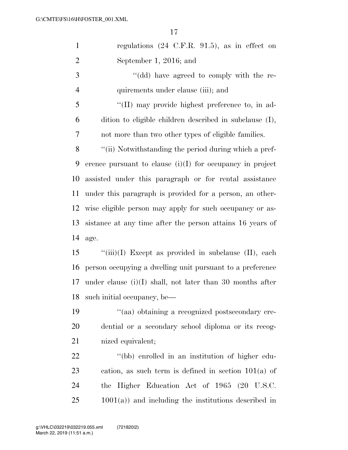| $\mathbf{1}$   | regulations $(24 \text{ C.F.R. } 91.5)$ , as in effect on   |
|----------------|-------------------------------------------------------------|
| $\overline{2}$ | September 1, 2016; and                                      |
| 3              | "(dd) have agreed to comply with the re-                    |
| $\overline{4}$ | quirements under clause (iii); and                          |
| 5              | "(II) may provide highest preference to, in ad-             |
| 6              | dition to eligible children described in subclause (I),     |
| 7              | not more than two other types of eligible families.         |
| 8              | "(ii) Notwithstanding the period during which a pref-       |
| 9              | erence pursuant to clause $(i)(I)$ for occupancy in project |
| 10             | assisted under this paragraph or for rental assistance      |
| 11             | under this paragraph is provided for a person, an other-    |
| 12             | wise eligible person may apply for such occupancy or as-    |
| 13             | sistance at any time after the person attains 16 years of   |
| 14             | age.                                                        |
| 15             | $``(iii)(I)$ Except as provided in subclause $(II)$ , each  |
| 16             | person occupying a dwelling unit pursuant to a preference   |
| 17             | under clause $(i)(I)$ shall, not later than 30 months after |
| 18             | such initial occupancy, be-                                 |
| 19             | "(aa) obtaining a recognized postsecondary cre-             |
| 20             | dential or a secondary school diploma or its recog-         |
| 21             | nized equivalent;                                           |
| 22             | "(bb) enrolled in an institution of higher edu-             |
| 23             | cation, as such term is defined in section $101(a)$ of      |
| 24             | the Higher Education Act of 1965 (20 U.S.C.                 |
| 25             | $1001(a)$ ) and including the institutions described in     |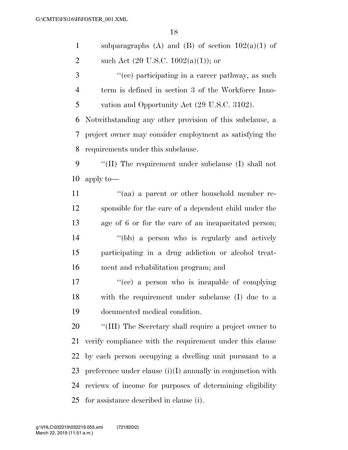| $\mathbf{1}$   | subparagraphs (A) and (B) of section $102(a)(1)$ of           |
|----------------|---------------------------------------------------------------|
| $\overline{2}$ | such Act $(20 \text{ U.S.C. } 1002(a)(1));$ or                |
| 3              | "(cc) participating in a career pathway, as such              |
| $\overline{4}$ | term is defined in section 3 of the Workforce Inno-           |
| 5              | vation and Opportunity Act (29 U.S.C. 3102).                  |
| 6              | Notwithstanding any other provision of this subclause, a      |
| 7              | project owner may consider employment as satisfying the       |
| 8              | requirements under this subclause.                            |
| 9              | "(II) The requirement under subclause $(I)$ shall not         |
| 10             | apply to-                                                     |
| 11             | "(aa) a parent or other household member re-                  |
| 12             | sponsible for the care of a dependent child under the         |
| 13             | age of 6 or for the care of an incapacitated person;          |
| 14             | "(bb) a person who is regularly and actively                  |
| 15             | participating in a drug addiction or alcohol treat-           |
| 16             | ment and rehabilitation program; and                          |
| 17             | "(cc) a person who is incapable of complying                  |
| 18             | with the requirement under subclause (I) due to a             |
| 19             | documented medical condition.                                 |
| 20             | "(III) The Secretary shall require a project owner to         |
| 21             | verify compliance with the requirement under this clause      |
| 22             | by each person occupying a dwelling unit pursuant to a        |
| 23             | preference under clause $(i)(I)$ annually in conjunction with |
| 24             | reviews of income for purposes of determining eligibility     |
| 25             | for assistance described in clause (i).                       |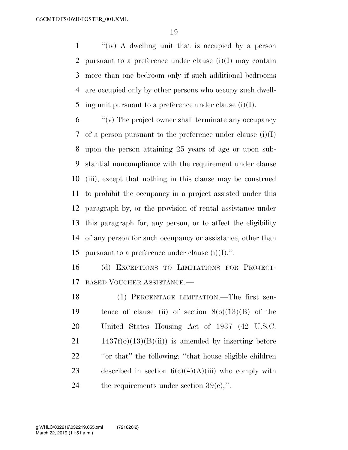''(iv) A dwelling unit that is occupied by a person pursuant to a preference under clause (i)(I) may contain more than one bedroom only if such additional bedrooms are occupied only by other persons who occupy such dwell-5 ing unit pursuant to a preference under clause (i)(I).

 ''(v) The project owner shall terminate any occupancy 7 of a person pursuant to the preference under clause  $(i)(I)$  upon the person attaining 25 years of age or upon sub- stantial noncompliance with the requirement under clause (iii), except that nothing in this clause may be construed to prohibit the occupancy in a project assisted under this paragraph by, or the provision of rental assistance under this paragraph for, any person, or to affect the eligibility of any person for such occupancy or assistance, other than 15 pursuant to a preference under clause  $(i)(I)$ .".

 (d) EXCEPTIONS TO LIMITATIONS FOR PROJECT-BASED VOUCHER ASSISTANCE.—

 (1) PERCENTAGE LIMITATION.—The first sen-19 tence of clause (ii) of section  $8(0)(13)(B)$  of the United States Housing Act of 1937 (42 U.S.C. 1437f(o)(13)(B)(ii)) is amended by inserting before ''or that'' the following: ''that house eligible children 23 described in section  $6(c)(4)(A)(iii)$  who comply with 24 the requirements under section  $39(e)$ ,".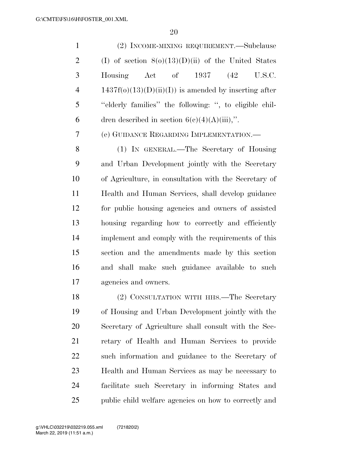(2) INCOME-MIXING REQUIREMENT.—Subclause 2 (I) of section  $8(0)(13)(D)(ii)$  of the United States Housing Act of 1937 (42 U.S.C. 4 1437f(o)(13)(D)(ii)(I)) is amended by inserting after ''elderly families'' the following: '', to eligible chil-6 dren described in section  $6(c)(4)(A)(iii)$ ,". (e) GUIDANCE REGARDING IMPLEMENTATION.—

 (1) IN GENERAL.—The Secretary of Housing and Urban Development jointly with the Secretary of Agriculture, in consultation with the Secretary of Health and Human Services, shall develop guidance for public housing agencies and owners of assisted housing regarding how to correctly and efficiently implement and comply with the requirements of this section and the amendments made by this section and shall make such guidance available to such agencies and owners.

 (2) CONSULTATION WITH HHS.—The Secretary of Housing and Urban Development jointly with the Secretary of Agriculture shall consult with the Sec- retary of Health and Human Services to provide such information and guidance to the Secretary of Health and Human Services as may be necessary to facilitate such Secretary in informing States and 25 public child welfare agencies on how to correctly and